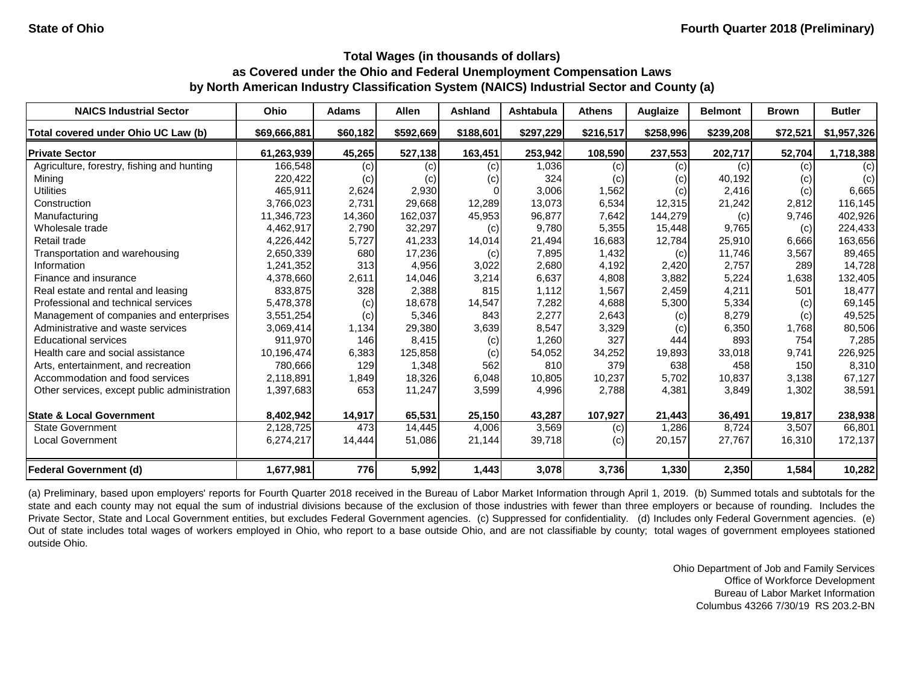| <b>NAICS Industrial Sector</b>               | Ohio         | <b>Adams</b> | <b>Allen</b> | <b>Ashland</b> | <b>Ashtabula</b> | <b>Athens</b> | Auglaize  | <b>Belmont</b> | <b>Brown</b> | <b>Butler</b>     |
|----------------------------------------------|--------------|--------------|--------------|----------------|------------------|---------------|-----------|----------------|--------------|-------------------|
| Total covered under Ohio UC Law (b)          | \$69,666,881 | \$60,182     | \$592,669    | \$188,601      | \$297,229        | \$216,517     | \$258,996 | \$239,208      | \$72,521     | \$1,957,326       |
| <b>Private Sector</b>                        | 61,263,939   | 45,265       | 527,138      | 163,451        | 253,942          | 108,590       | 237,553   | 202,717        | 52,704       | 1,718,388         |
| Agriculture, forestry, fishing and hunting   | 166,548      | (c)          | (c)          | (c)            | 1,036            | (c)           | (c)       | (c)            | (c)          | $\left( c\right)$ |
| Mining                                       | 220,422      | (c)          | (c)          | (c)            | 324              | (c)           | (c)       | 40,192         | (c)          | (c)               |
| <b>Utilities</b>                             | 465,911      | 2,624        | 2,930        |                | 3,006            | 1,562         | (c)       | 2,416          | (c)          | 6,665             |
| Construction                                 | 3,766,023    | 2,731        | 29,668       | 12,289         | 13,073           | 6,534         | 12,315    | 21,242         | 2,812        | 116,145           |
| Manufacturing                                | 11,346,723   | 14,360       | 162,037      | 45,953         | 96,877           | 7,642         | 144,279   | (c)            | 9,746        | 402,926           |
| Wholesale trade                              | 4,462,917    | 2,790        | 32,297       | (c)            | 9,780            | 5,355         | 15,448    | 9,765          | (c)          | 224,433           |
| Retail trade                                 | 4,226,442    | 5,727        | 41,233       | 14,014         | 21,494           | 16,683        | 12,784    | 25,910         | 6,666        | 163,656           |
| Transportation and warehousing               | 2,650,339    | 680          | 17,236       | (c)            | 7,895            | 1,432         | (c)       | 11,746         | 3,567        | 89,465            |
| Information                                  | 1,241,352    | 313          | 4,956        | 3,022          | 2,680            | 4,192         | 2,420     | 2,757          | 289          | 14,728            |
| Finance and insurance                        | 4,378,660    | 2,611        | 14,046       | 3,214          | 6,637            | 4,808         | 3,882     | 5,224          | 1,638        | 132,405           |
| Real estate and rental and leasing           | 833,875      | 328          | 2,388        | 815            | 1,112            | 1,567         | 2,459     | 4,211          | 501          | 18,477            |
| Professional and technical services          | 5,478,378    | (c)          | 18,678       | 14,547         | 7,282            | 4,688         | 5,300     | 5,334          | (c)          | 69,145            |
| Management of companies and enterprises      | 3,551,254    | (c)          | 5,346        | 843            | 2,277            | 2,643         | (c)       | 8,279          | (c)          | 49,525            |
| Administrative and waste services            | 3,069,414    | 1,134        | 29,380       | 3,639          | 8,547            | 3,329         | (c)       | 6,350          | 1,768        | 80,506            |
| <b>Educational services</b>                  | 911,970      | 146          | 8,415        | (c)            | 1,260            | 327           | 444       | 893            | 754          | 7,285             |
| Health care and social assistance            | 10,196,474   | 6,383        | 125,858      | (c)            | 54,052           | 34,252        | 19,893    | 33,018         | 9,741        | 226,925           |
| Arts, entertainment, and recreation          | 780,666      | 129          | 1,348        | 562            | 810              | 379           | 638       | 458            | 150          | 8,310             |
| Accommodation and food services              | 2,118,891    | 1,849        | 18,326       | 6,048          | 10,805           | 10,237        | 5,702     | 10,837         | 3,138        | 67,127            |
| Other services, except public administration | 1,397,683    | 653          | 11,247       | 3,599          | 4,996            | 2,788         | 4,381     | 3,849          | 1,302        | 38,591            |
| <b>State &amp; Local Government</b>          | 8,402,942    | 14,917       | 65,531       | 25,150         | 43,287           | 107,927       | 21,443    | 36,491         | 19,817       | 238,938           |
| <b>State Government</b>                      | 2,128,725    | 473          | 14,445       | 4,006          | 3,569            | (c)           | 1,286     | 8,724          | 3,507        | 66,801            |
| <b>Local Government</b>                      | 6,274,217    | 14,444       | 51,086       | 21,144         | 39,718           | (c)           | 20,157    | 27,767         | 16,310       | 172,137           |
| Federal Government (d)                       | 1,677,981    | 776          | 5,992        | 1,443          | 3,078            | 3,736         | 1,330     | 2,350          | 1,584        | 10,282            |

(a) Preliminary, based upon employers' reports for Fourth Quarter 2018 received in the Bureau of Labor Market Information through April 1, 2019. (b) Summed totals and subtotals for the state and each county may not equal the sum of industrial divisions because of the exclusion of those industries with fewer than three employers or because of rounding. Includes the Private Sector, State and Local Government entities, but excludes Federal Government agencies. (c) Suppressed for confidentiality. (d) Includes only Federal Government agencies. (e) Out of state includes total wages of workers employed in Ohio, who report to a base outside Ohio, and are not classifiable by county; total wages of government employees stationed outside Ohio.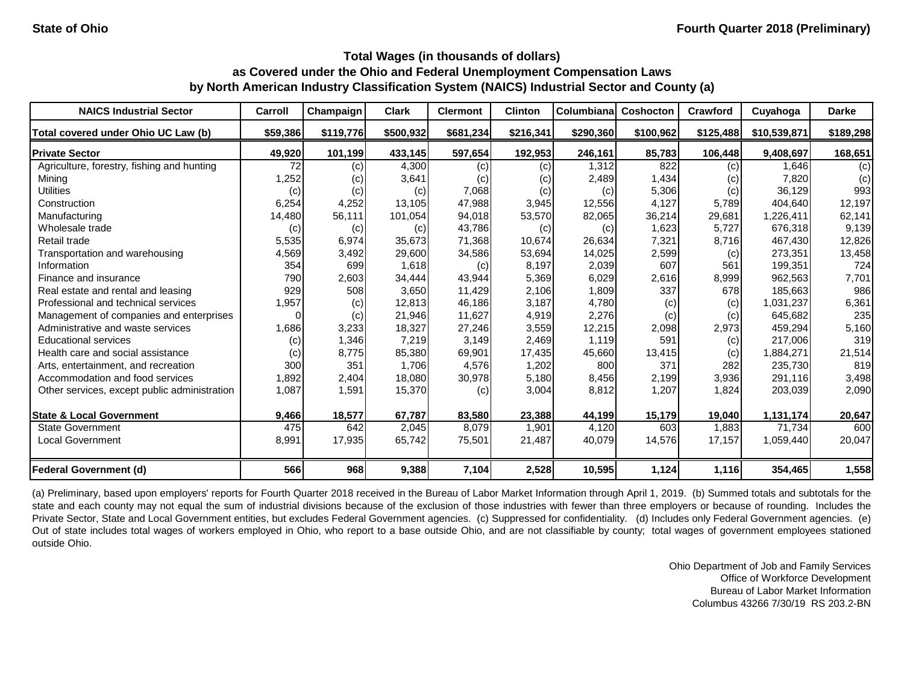| <b>NAICS Industrial Sector</b>               | Carroll  | Champaign | <b>Clark</b> | <b>Clermont</b> | <b>Clinton</b> | Columbiana | Coshocton | Crawford  | Cuyahoga     | <b>Darke</b> |
|----------------------------------------------|----------|-----------|--------------|-----------------|----------------|------------|-----------|-----------|--------------|--------------|
| Total covered under Ohio UC Law (b)          | \$59,386 | \$119,776 | \$500,932    | \$681,234       | \$216,341      | \$290,360  | \$100,962 | \$125,488 | \$10,539,871 | \$189,298    |
| <b>Private Sector</b>                        | 49,920   | 101,199   | 433,145      | 597,654         | 192,953        | 246,161    | 85,783    | 106,448   | 9,408,697    | 168,651      |
| Agriculture, forestry, fishing and hunting   | 72       | (c)       | 4,300        | (c)             | (c)            | 1,312      | 822       | (c)       | 1,646        | (c)          |
| Mining                                       | 1,252    | (c)       | 3,641        | (c)             | (c)            | 2,489      | 1,434     | (c)       | 7,820        | (c)          |
| <b>Utilities</b>                             | (c)      | (c)       | (c)          | 7,068           | (c)            | (c)        | 5,306     | (c)       | 36,129       | 993          |
| Construction                                 | 6,254    | 4,252     | 13,105       | 47,988          | 3,945          | 12,556     | 4,127     | 5,789     | 404,640      | 12,197       |
| Manufacturing                                | 14,480   | 56,111    | 101,054      | 94,018          | 53,570         | 82,065     | 36,214    | 29,681    | 1,226,411    | 62,141       |
| Wholesale trade                              | (c)      | (c)       | (c)          | 43,786          | (c)            | (c)        | 1,623     | 5,727     | 676,318      | 9,139        |
| Retail trade                                 | 5,535    | 6,974     | 35,673       | 71,368          | 10,674         | 26,634     | 7,321     | 8,716     | 467,430      | 12,826       |
| Transportation and warehousing               | 4,569    | 3,492     | 29,600       | 34,586          | 53,694         | 14,025     | 2,599     | (c)       | 273,351      | 13,458       |
| Information                                  | 354      | 699       | 1,618        | (c)             | 8,197          | 2,039      | 607       | 561       | 199,351      | 724          |
| Finance and insurance                        | 790      | 2,603     | 34,444       | 43,944          | 5,369          | 6,029      | 2,616     | 8,999     | 962,563      | 7,701        |
| Real estate and rental and leasing           | 929      | 508       | 3,650        | 11,429          | 2,106          | 1,809      | 337       | 678       | 185,663      | 986          |
| Professional and technical services          | 1,957    | (c)       | 12,813       | 46,186          | 3,187          | 4,780      | (c)       | (c)       | 1,031,237    | 6,361        |
| Management of companies and enterprises      | $\Omega$ | (c)       | 21,946       | 11,627          | 4,919          | 2,276      | (c)       | (c)       | 645,682      | 235          |
| Administrative and waste services            | 1,686    | 3,233     | 18,327       | 27,246          | 3,559          | 12,215     | 2,098     | 2,973     | 459,294      | 5,160        |
| <b>Educational services</b>                  | (c)      | 1,346     | 7,219        | 3,149           | 2,469          | 1,119      | 591       | (c)       | 217,006      | 319          |
| Health care and social assistance            | (c)      | 8,775     | 85,380       | 69,901          | 17,435         | 45,660     | 13,415    | (c)       | 1,884,271    | 21,514       |
| Arts, entertainment, and recreation          | 300      | 351       | 1,706        | 4,576           | 1,202          | 800        | 371       | 282       | 235,730      | 819          |
| Accommodation and food services              | 1,892    | 2,404     | 18,080       | 30,978          | 5,180          | 8,456      | 2,199     | 3,936     | 291,116      | 3,498        |
| Other services, except public administration | 1,087    | 1,591     | 15,370       | (c)             | 3,004          | 8,812      | 1,207     | 1,824     | 203,039      | 2,090        |
| <b>State &amp; Local Government</b>          | 9,466    | 18,577    | 67,787       | 83,580          | 23,388         | 44,199     | 15,179    | 19,040    | 1,131,174    | 20,647       |
| <b>State Government</b>                      | 475      | 642       | 2,045        | 8,079           | 1,901          | 4,120      | 603       | 1,883     | 71,734       | 600          |
| <b>Local Government</b>                      | 8,991    | 17,935    | 65,742       | 75,501          | 21,487         | 40,079     | 14,576    | 17,157    | 1,059,440    | 20,047       |
| <b>Federal Government (d)</b>                | 566      | 968       | 9,388        | 7,104           | 2,528          | 10,595     | 1,124     | 1,116     | 354,465      | 1,558        |

(a) Preliminary, based upon employers' reports for Fourth Quarter 2018 received in the Bureau of Labor Market Information through April 1, 2019. (b) Summed totals and subtotals for the state and each county may not equal the sum of industrial divisions because of the exclusion of those industries with fewer than three employers or because of rounding. Includes the Private Sector, State and Local Government entities, but excludes Federal Government agencies. (c) Suppressed for confidentiality. (d) Includes only Federal Government agencies. (e) Out of state includes total wages of workers employed in Ohio, who report to a base outside Ohio, and are not classifiable by county; total wages of government employees stationed outside Ohio.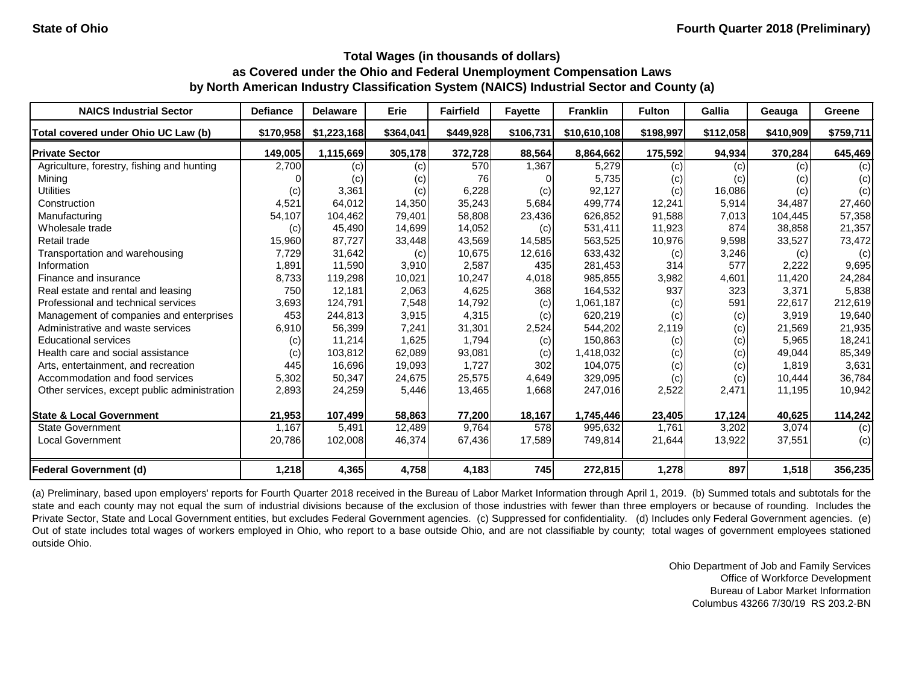| <b>NAICS Industrial Sector</b>               | <b>Defiance</b> | <b>Delaware</b> | <b>Erie</b> | <b>Fairfield</b> | <b>Fayette</b>   | <b>Franklin</b> | <b>Fulton</b> | Gallia    | Geauga    | Greene    |
|----------------------------------------------|-----------------|-----------------|-------------|------------------|------------------|-----------------|---------------|-----------|-----------|-----------|
| Total covered under Ohio UC Law (b)          | \$170,958       | \$1,223,168     | \$364,041   | \$449,928        | \$106,731        | \$10,610,108    | \$198,997     | \$112,058 | \$410,909 | \$759,711 |
| <b>Private Sector</b>                        | 149,005         | 1,115,669       | 305,178     | 372,728          | 88,564           | 8,864,662       | 175,592       | 94,934    | 370,284   | 645,469   |
| Agriculture, forestry, fishing and hunting   | 2,700           | (c)             | (c)         | 570              | 1,367            | 5,279           | (c)           | (c)       | (c)       | (c)       |
| Mining                                       |                 | (c)             | (c)         | 76               |                  | 5,735           | (c)           | (c)       | (c)       | (c)       |
| <b>Utilities</b>                             | (c)             | 3,361           | (c)         | 6,228            | (c)              | 92,127          | (c)           | 16,086    | (c)       | (c)       |
| Construction                                 | 4,521           | 64,012          | 14,350      | 35,243           | 5,684            | 499,774         | 12,241        | 5,914     | 34,487    | 27,460    |
| Manufacturing                                | 54,107          | 104,462         | 79,401      | 58,808           | 23,436           | 626,852         | 91,588        | 7,013     | 104,445   | 57,358    |
| Wholesale trade                              | (c)             | 45,490          | 14,699      | 14,052           | (c)              | 531,411         | 11,923        | 874       | 38,858    | 21,357    |
| Retail trade                                 | 15,960          | 87,727          | 33,448      | 43,569           | 14,585           | 563,525         | 10,976        | 9,598     | 33,527    | 73,472    |
| Transportation and warehousing               | 7,729           | 31,642          | (c)         | 10,675           | 12,616           | 633,432         | (c)           | 3,246     | (c)       | (c)       |
| Information                                  | 1,891           | 11,590          | 3,910       | 2,587            | 435              | 281,453         | 314           | 577       | 2,222     | 9,695     |
| Finance and insurance                        | 8,733           | 119,298         | 10,021      | 10,247           | 4,018            | 985,855         | 3,982         | 4,601     | 11,420    | 24,284    |
| Real estate and rental and leasing           | 750             | 12,181          | 2,063       | 4,625            | 368              | 164,532         | 937           | 323       | 3,371     | 5,838     |
| Professional and technical services          | 3,693           | 124,791         | 7,548       | 14,792           | (c)              | 1,061,187       | (c)           | 591       | 22,617    | 212,619   |
| Management of companies and enterprises      | 453             | 244,813         | 3,915       | 4,315            | (c)              | 620,219         | (c)           | (c)       | 3,919     | 19,640    |
| Administrative and waste services            | 6,910           | 56,399          | 7,241       | 31,301           | 2,524            | 544,202         | 2,119         | (c)       | 21,569    | 21,935    |
| <b>Educational services</b>                  | (c)             | 11,214          | 1,625       | 1,794            | (c)              | 150,863         | $\left( $     | (c)       | 5,965     | 18,241    |
| Health care and social assistance            | (c)             | 103,812         | 62,089      | 93,081           | (c)              | 1,418,032       | (c)           | (c)       | 49,044    | 85,349    |
| Arts, entertainment, and recreation          | 445             | 16,696          | 19,093      | 1,727            | 302              | 104,075         | (c)           | (c)       | 1,819     | 3,631     |
| Accommodation and food services              | 5,302           | 50,347          | 24,675      | 25,575           | 4,649            | 329,095         | (c)           | (c)       | 10,444    | 36,784    |
| Other services, except public administration | 2,893           | 24,259          | 5,446       | 13,465           | 1,668            | 247,016         | 2,522         | 2,471     | 11,195    | 10,942    |
| <b>State &amp; Local Government</b>          | 21,953          | 107,499         | 58,863      | 77,200           | 18,167           | 1,745,446       | 23,405        | 17,124    | 40,625    | 114,242   |
| State Government                             | 1,167           | 5,491           | 12,489      | 9,764            | $\overline{578}$ | 995,632         | 1,761         | 3,202     | 3,074     | (c)       |
| <b>Local Government</b>                      | 20,786          | 102,008         | 46,374      | 67,436           | 17,589           | 749,814         | 21,644        | 13,922    | 37,551    | (c)       |
| <b>Federal Government (d)</b>                | 1,218           | 4,365           | 4,758       | 4,183            | 745              | 272,815         | 1,278         | 897       | 1,518     | 356,235   |

(a) Preliminary, based upon employers' reports for Fourth Quarter 2018 received in the Bureau of Labor Market Information through April 1, 2019. (b) Summed totals and subtotals for the state and each county may not equal the sum of industrial divisions because of the exclusion of those industries with fewer than three employers or because of rounding. Includes the Private Sector, State and Local Government entities, but excludes Federal Government agencies. (c) Suppressed for confidentiality. (d) Includes only Federal Government agencies. (e) Out of state includes total wages of workers employed in Ohio, who report to a base outside Ohio, and are not classifiable by county; total wages of government employees stationed outside Ohio.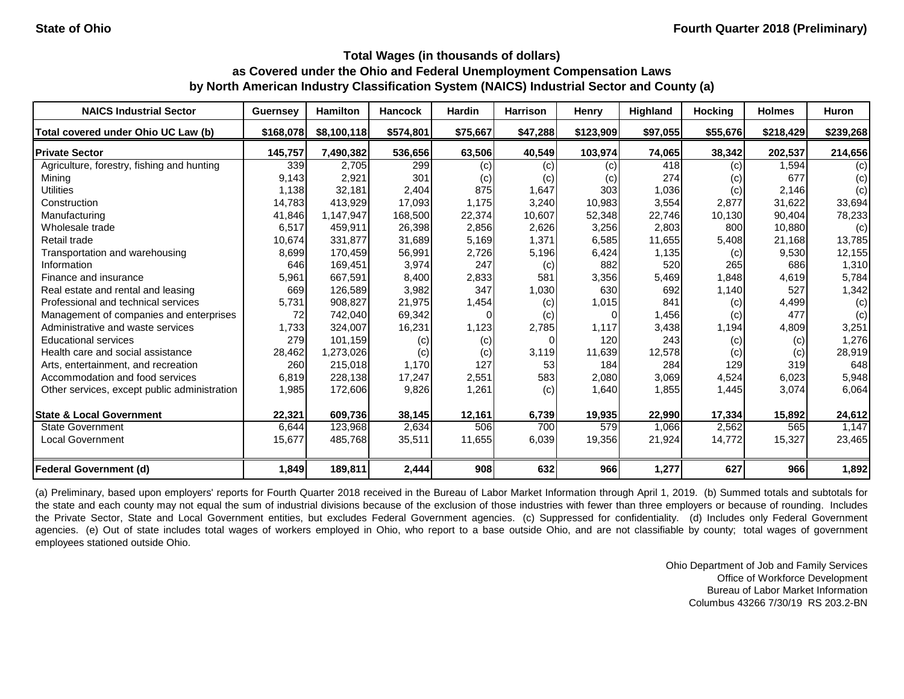| <b>NAICS Industrial Sector</b>               | <b>Guernsey</b> | <b>Hamilton</b> | <b>Hancock</b> | <b>Hardin</b> | <b>Harrison</b> | <b>Henry</b> | <b>Highland</b> | <b>Hocking</b> | <b>Holmes</b> | <b>Huron</b> |
|----------------------------------------------|-----------------|-----------------|----------------|---------------|-----------------|--------------|-----------------|----------------|---------------|--------------|
| Total covered under Ohio UC Law (b)          | \$168,078       | \$8,100,118     | \$574,801      | \$75,667      | \$47,288        | \$123,909    | \$97,055        | \$55,676       | \$218,429     | \$239,268    |
| <b>Private Sector</b>                        | 145,757         | 7,490,382       | 536,656        | 63,506        | 40,549          | 103,974      | 74,065          | 38,342         | 202,537       | 214,656      |
| Agriculture, forestry, fishing and hunting   | 339             | 2,705           | 299            | (c)           | (c)             | (c)          | 418             | (c)            | 1,594         | (c)          |
| Mining                                       | 9,143           | 2,921           | 301            | (c)           | (c)             | (c)          | 274             | (c)            | 677           | (c)          |
| <b>Utilities</b>                             | 1,138           | 32,181          | 2,404          | 875           | 1,647           | 303          | 1,036           | (c)            | 2,146         | (c)          |
| Construction                                 | 14,783          | 413,929         | 17,093         | 1,175         | 3,240           | 10,983       | 3,554           | 2,877          | 31,622        | 33,694       |
| Manufacturing                                | 41,846          | 1,147,947       | 168,500        | 22,374        | 10,607          | 52,348       | 22,746          | 10,130         | 90,404        | 78,233       |
| Wholesale trade                              | 6,517           | 459,911         | 26,398         | 2,856         | 2,626           | 3,256        | 2,803           | 800            | 10,880        | (c)          |
| Retail trade                                 | 10,674          | 331,877         | 31,689         | 5,169         | 1,371           | 6,585        | 11,655          | 5,408          | 21,168        | 13,785       |
| Transportation and warehousing               | 8,699           | 170,459         | 56,991         | 2,726         | 5,196           | 6,424        | 1,135           | (c)            | 9,530         | 12,155       |
| Information                                  | 646             | 169,451         | 3,974          | 247           | (c)             | 882          | 520             | 265            | 686           | 1,310        |
| Finance and insurance                        | 5,961           | 667,591         | 8,400          | 2,833         | 581             | 3,356        | 5,469           | 1,848          | 4,619         | 5,784        |
| Real estate and rental and leasing           | 669             | 126,589         | 3,982          | 347           | 1,030           | 630          | 692             | 1,140          | 527           | 1,342        |
| Professional and technical services          | 5,731           | 908,827         | 21,975         | 1,454         | (c)             | 1,015        | 841             | (c)            | 4,499         | (c)          |
| Management of companies and enterprises      | 72              | 742,040         | 69,342         |               | (c)             |              | 1,456           | (c)            | 477           | (c)          |
| Administrative and waste services            | 1,733           | 324,007         | 16,231         | 1,123         | 2,785           | 1,117        | 3,438           | 1,194          | 4,809         | 3,251        |
| <b>Educational services</b>                  | 279             | 101,159         | (c)            | (c)           |                 | 120          | 243             | (c)            | (c)           | 1,276        |
| Health care and social assistance            | 28,462          | 1,273,026       | (c)            | (c)           | 3,119           | 11,639       | 12,578          | (c)            | (c)           | 28,919       |
| Arts, entertainment, and recreation          | 260             | 215,018         | 1,170          | 127           | 53              | 184          | 284             | 129            | 319           | 648          |
| Accommodation and food services              | 6,819           | 228,138         | 17,247         | 2,551         | 583             | 2,080        | 3,069           | 4,524          | 6,023         | 5,948        |
| Other services, except public administration | 1,985           | 172,606         | 9,826          | 1,261         | (c)             | 1,640        | 1,855           | 1,445          | 3,074         | 6,064        |
| <b>State &amp; Local Government</b>          | 22,321          | 609,736         | 38,145         | 12,161        | 6,739           | 19,935       | 22,990          | 17,334         | 15,892        | 24,612       |
| <b>State Government</b>                      | 6,644           | 123,968         | 2,634          | 506           | 700             | 579          | 1,066           | 2,562          | 565           | 1,147        |
| <b>Local Government</b>                      | 15,677          | 485,768         | 35,511         | 11,655        | 6,039           | 19,356       | 21,924          | 14,772         | 15,327        | 23,465       |
| <b>Federal Government (d)</b>                | 1,849           | 189,811         | 2,444          | 908           | 632             | 966          | 1,277           | 627            | 966           | 1,892        |

(a) Preliminary, based upon employers' reports for Fourth Quarter 2018 received in the Bureau of Labor Market Information through April 1, 2019. (b) Summed totals and subtotals for the state and each county may not equal the sum of industrial divisions because of the exclusion of those industries with fewer than three employers or because of rounding. Includes the Private Sector, State and Local Government entities, but excludes Federal Government agencies. (c) Suppressed for confidentiality. (d) Includes only Federal Government agencies. (e) Out of state includes total wages of workers employed in Ohio, who report to a base outside Ohio, and are not classifiable by county; total wages of government employees stationed outside Ohio.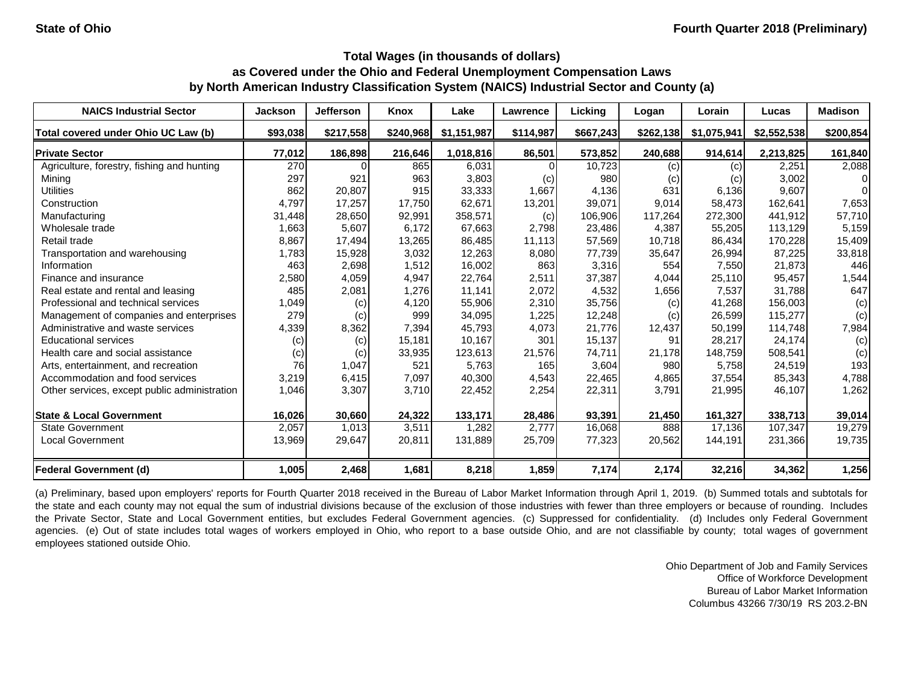| <b>NAICS Industrial Sector</b>               | <b>Jackson</b> | <b>Jefferson</b> | Knox      | Lake        | Lawrence  | Licking   | Logan     | Lorain      | Lucas       | <b>Madison</b> |
|----------------------------------------------|----------------|------------------|-----------|-------------|-----------|-----------|-----------|-------------|-------------|----------------|
| Total covered under Ohio UC Law (b)          | \$93,038       | \$217,558        | \$240,968 | \$1,151,987 | \$114,987 | \$667,243 | \$262,138 | \$1,075,941 | \$2,552,538 | \$200,854      |
| <b>Private Sector</b>                        | 77,012         | 186,898          | 216,646   | 1,018,816   | 86,501    | 573,852   | 240,688   | 914,614     | 2,213,825   | 161,840        |
| Agriculture, forestry, fishing and hunting   | 270            |                  | 865       | 6,031       |           | 10,723    | (c)       | (c)         | 2,251       | 2,088          |
| Mining                                       | 297            | 921              | 963       | 3,803       | (c)       | 980       | (c)       | (c)         | 3,002       | 01             |
| <b>Utilities</b>                             | 862            | 20,807           | 915       | 33,333      | 1,667     | 4,136     | 631       | 6,136       | 9,607       | $\Omega$       |
| Construction                                 | 4,797          | 17,257           | 17,750    | 62,671      | 13,201    | 39,071    | 9,014     | 58,473      | 162,641     | 7,653          |
| Manufacturing                                | 31,448         | 28,650           | 92,991    | 358,571     | (c)       | 106,906   | 117,264   | 272,300     | 441,912     | 57,710         |
| Wholesale trade                              | 1,663          | 5,607            | 6,172     | 67,663      | 2,798     | 23,486    | 4,387     | 55,205      | 113,129     | 5,159          |
| Retail trade                                 | 8,867          | 17,494           | 13,265    | 86,485      | 11,113    | 57,569    | 10,718    | 86,434      | 170,228     | 15,409         |
| Transportation and warehousing               | 1,783          | 15,928           | 3,032     | 12,263      | 8,080     | 77,739    | 35,647    | 26,994      | 87,225      | 33,818         |
| Information                                  | 463            | 2,698            | 1,512     | 16,002      | 863       | 3,316     | 554       | 7,550       | 21,873      | 446            |
| Finance and insurance                        | 2,580          | 4,059            | 4,947     | 22,764      | 2,511     | 37,387    | 4,044     | 25,110      | 95,457      | 1,544          |
| Real estate and rental and leasing           | 485            | 2,081            | 1,276     | 11,141      | 2,072     | 4,532     | 1,656     | 7,537       | 31,788      | 647            |
| Professional and technical services          | 1,049          | (c)              | 4,120     | 55,906      | 2,310     | 35,756    | (c)       | 41,268      | 156,003     | (c)            |
| Management of companies and enterprises      | 279            | (c)              | 999       | 34,095      | 1,225     | 12,248    | (c)       | 26,599      | 115,277     | (c)            |
| Administrative and waste services            | 4,339          | 8,362            | 7,394     | 45,793      | 4,073     | 21,776    | 12,437    | 50,199      | 114,748     | 7,984          |
| <b>Educational services</b>                  | (c)            | (c)              | 15,181    | 10,167      | 301       | 15,137    | 91        | 28,217      | 24,174      | (c)            |
| Health care and social assistance            | (c)            | (c)              | 33,935    | 123,613     | 21,576    | 74,711    | 21,178    | 148,759     | 508,541     | (c)            |
| Arts, entertainment, and recreation          | 76             | 1,047            | 521       | 5,763       | 165       | 3,604     | 980       | 5,758       | 24,519      | 193            |
| Accommodation and food services              | 3,219          | 6,415            | 7,097     | 40,300      | 4,543     | 22,465    | 4,865     | 37,554      | 85,343      | 4,788          |
| Other services, except public administration | 1,046          | 3,307            | 3,710     | 22,452      | 2,254     | 22,311    | 3,791     | 21,995      | 46,107      | 1,262          |
| <b>State &amp; Local Government</b>          | 16,026         | 30,660           | 24,322    | 133,171     | 28,486    | 93,391    | 21,450    | 161,327     | 338,713     | 39,014         |
| <b>State Government</b>                      | 2,057          | 1,013            | 3,511     | 1,282       | 2,777     | 16,068    | 888       | 17,136      | 107,347     | 19,279         |
| <b>Local Government</b>                      | 13,969         | 29,647           | 20,811    | 131,889     | 25,709    | 77,323    | 20,562    | 144,191     | 231,366     | 19,735         |
| <b>Federal Government (d)</b>                | 1,005          | 2,468            | 1,681     | 8,218       | 1,859     | 7,174     | 2,174     | 32,216      | 34,362      | 1,256          |

(a) Preliminary, based upon employers' reports for Fourth Quarter 2018 received in the Bureau of Labor Market Information through April 1, 2019. (b) Summed totals and subtotals for the state and each county may not equal the sum of industrial divisions because of the exclusion of those industries with fewer than three employers or because of rounding. Includes the Private Sector, State and Local Government entities, but excludes Federal Government agencies. (c) Suppressed for confidentiality. (d) Includes only Federal Government agencies. (e) Out of state includes total wages of workers employed in Ohio, who report to a base outside Ohio, and are not classifiable by county; total wages of government employees stationed outside Ohio.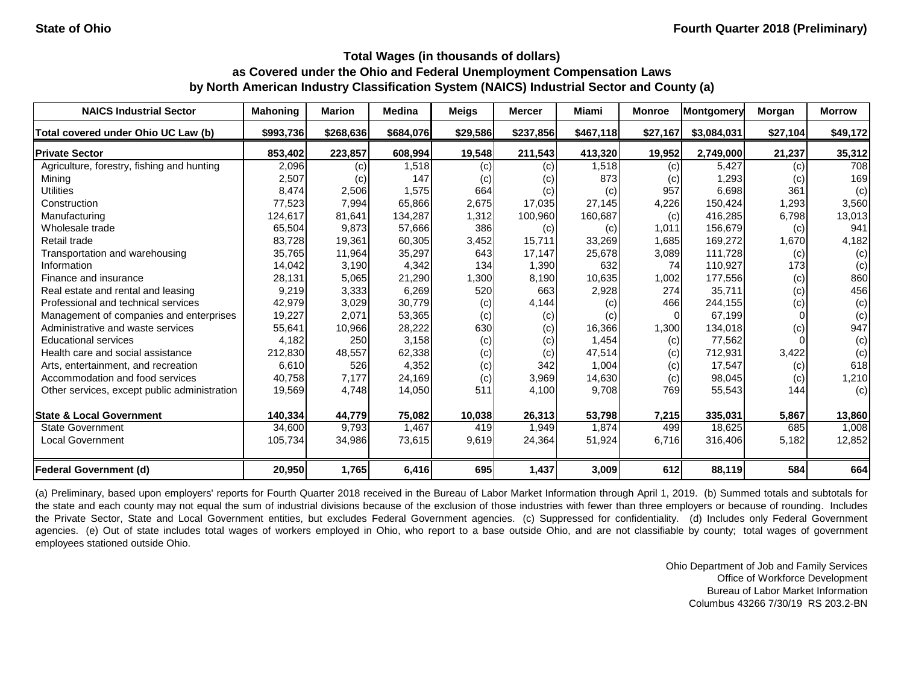| <b>NAICS Industrial Sector</b>               | <b>Mahoning</b> | <b>Marion</b> | <b>Medina</b> | <b>Meigs</b> | <b>Mercer</b> | Miami     | <b>Monroe</b> | Montgomery  | Morgan   | <b>Morrow</b> |
|----------------------------------------------|-----------------|---------------|---------------|--------------|---------------|-----------|---------------|-------------|----------|---------------|
| Total covered under Ohio UC Law (b)          | \$993,736       | \$268,636     | \$684,076     | \$29,586     | \$237,856     | \$467,118 | \$27,167      | \$3,084,031 | \$27,104 | \$49,172      |
| <b>Private Sector</b>                        | 853,402         | 223,857       | 608,994       | 19,548       | 211,543       | 413,320   | 19,952        | 2,749,000   | 21,237   | 35,312        |
| Agriculture, forestry, fishing and hunting   | 2,096           | (c)           | 1,518         | (c)          | (c)           | 1,518     | (c)           | 5,427       | (c)      | 708           |
| Mining                                       | 2,507           | (c)           | 147           | (c)          | (c)           | 873       | (c)           | 1,293       | (c)      | 169           |
| <b>Utilities</b>                             | 8,474           | 2,506         | 1,575         | 664          | (c)           | (c)       | 957           | 6,698       | 361      | (c)           |
| Construction                                 | 77,523          | 7,994         | 65,866        | 2,675        | 17,035        | 27,145    | 4,226         | 150,424     | 1,293    | 3,560         |
| Manufacturing                                | 124,617         | 81,641        | 134,287       | 1,312        | 100,960       | 160,687   | (c)           | 416,285     | 6,798    | 13,013        |
| Wholesale trade                              | 65,504          | 9,873         | 57,666        | 386          | (c)           | (c)       | 1,011         | 156,679     | (c)      | 941           |
| Retail trade                                 | 83,728          | 19,361        | 60,305        | 3,452        | 15,711        | 33,269    | 1,685         | 169,272     | 1,670    | 4,182         |
| Transportation and warehousing               | 35,765          | 11,964        | 35,297        | 643          | 17,147        | 25,678    | 3,089         | 111,728     | (c)      | (c)           |
| Information                                  | 14,042          | 3,190         | 4,342         | 134          | 1,390         | 632       | 74            | 110,927     | 173      | (c)           |
| Finance and insurance                        | 28,131          | 5,065         | 21,290        | 1,300        | 8,190         | 10,635    | 1,002         | 177,556     | (c)      | 860           |
| Real estate and rental and leasing           | 9,219           | 3,333         | 6,269         | 520          | 663           | 2,928     | 274           | 35,711      | (c)      | 456           |
| Professional and technical services          | 42,979          | 3,029         | 30,779        | (c)          | 4,144         | (c)       | 466           | 244,155     | (c)      | (c)           |
| Management of companies and enterprises      | 19,227          | 2,071         | 53,365        | (c)          | (c)           | (c)       | $\Omega$      | 67,199      |          | (c)           |
| Administrative and waste services            | 55,641          | 10,966        | 28,222        | 630          | (c)           | 16,366    | 1,300         | 134,018     | (c)      | 947           |
| <b>Educational services</b>                  | 4,182           | 250           | 3,158         | (c)          | (c)           | 1,454     | (c)           | 77,562      |          | (c)           |
| Health care and social assistance            | 212,830         | 48,557        | 62,338        | (c)          | (c)           | 47,514    | (c)           | 712,931     | 3,422    | (c)           |
| Arts, entertainment, and recreation          | 6,610           | 526           | 4,352         | (c)          | 342           | 1,004     | (c)           | 17,547      | (c)      | 618           |
| Accommodation and food services              | 40,758          | 7,177         | 24,169        | (c)          | 3,969         | 14,630    | (c)           | 98,045      | (c)      | 1,210         |
| Other services, except public administration | 19,569          | 4,748         | 14,050        | 511          | 4,100         | 9,708     | 769           | 55,543      | 144      | (c)           |
| <b>State &amp; Local Government</b>          | 140,334         | 44,779        | 75,082        | 10,038       | 26,313        | 53,798    | 7,215         | 335,031     | 5,867    | 13,860        |
| <b>State Government</b>                      | 34,600          | 9,793         | 1,467         | 419          | 1,949         | 1,874     | 499           | 18,625      | 685      | 1,008         |
| <b>Local Government</b>                      | 105,734         | 34,986        | 73,615        | 9,619        | 24,364        | 51,924    | 6,716         | 316,406     | 5,182    | 12,852        |
| <b>Federal Government (d)</b>                | 20,950          | 1,765         | 6,416         | 695          | 1,437         | 3,009     | 612           | 88,119      | 584      | 664           |

(a) Preliminary, based upon employers' reports for Fourth Quarter 2018 received in the Bureau of Labor Market Information through April 1, 2019. (b) Summed totals and subtotals for the state and each county may not equal the sum of industrial divisions because of the exclusion of those industries with fewer than three employers or because of rounding. Includes the Private Sector, State and Local Government entities, but excludes Federal Government agencies. (c) Suppressed for confidentiality. (d) Includes only Federal Government agencies. (e) Out of state includes total wages of workers employed in Ohio, who report to a base outside Ohio, and are not classifiable by county; total wages of government employees stationed outside Ohio.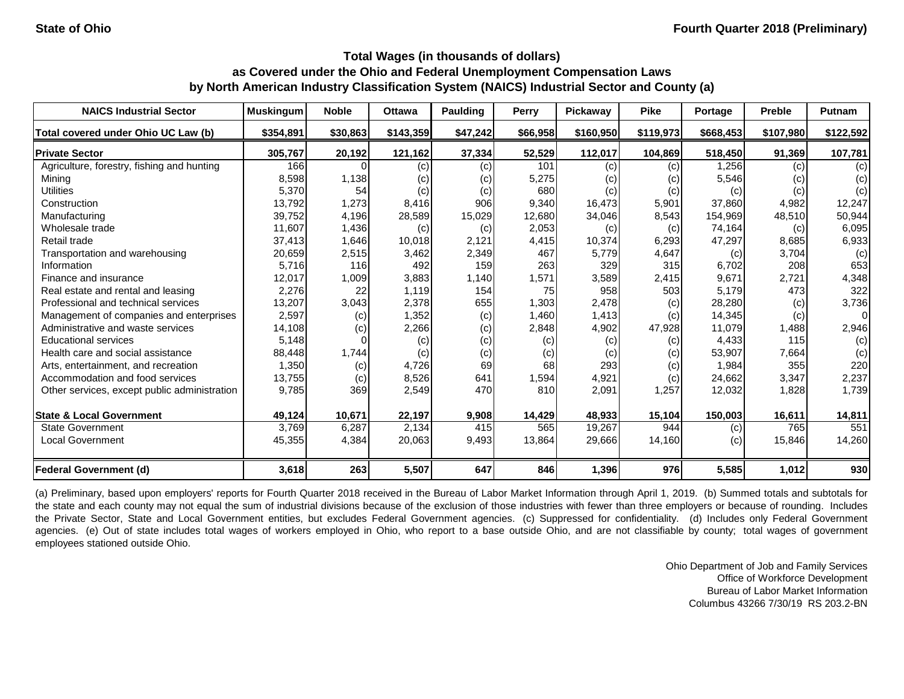| <b>NAICS Industrial Sector</b>               | <b>Muskingum</b> | <b>Noble</b> | <b>Ottawa</b> | <b>Paulding</b> | <b>Perry</b> | Pickaway  | <b>Pike</b> | Portage   | <b>Preble</b> | Putnam    |
|----------------------------------------------|------------------|--------------|---------------|-----------------|--------------|-----------|-------------|-----------|---------------|-----------|
| Total covered under Ohio UC Law (b)          | \$354,891        | \$30,863     | \$143,359     | \$47,242        | \$66,958     | \$160,950 | \$119,973   | \$668,453 | \$107,980     | \$122,592 |
| <b>Private Sector</b>                        | 305,767          | 20,192       | 121,162       | 37,334          | 52,529       | 112,017   | 104,869     | 518,450   | 91,369        | 107,781   |
| Agriculture, forestry, fishing and hunting   | 166              | 0            | (c)           | (c)             | 101          | (c)       | (c)         | 1,256     | (c)           | (c)       |
| Mining                                       | 8,598            | 1,138        | (c)           | (c)             | 5,275        | (c)       | (c)         | 5,546     | (c)           | (c)       |
| <b>Utilities</b>                             | 5,370            | 54           | (c)           | (c)             | 680          | (c)       | (c)         | (c)       | (c)           | (c)       |
| Construction                                 | 13,792           | 1,273        | 8,416         | 906             | 9,340        | 16,473    | 5,901       | 37,860    | 4,982         | 12,247    |
| Manufacturing                                | 39,752           | 4,196        | 28,589        | 15,029          | 12,680       | 34,046    | 8,543       | 154,969   | 48,510        | 50,944    |
| Wholesale trade                              | 11,607           | 1,436        | (c)           | (c)             | 2,053        | (c)       | (c)         | 74,164    | (c)           | 6,095     |
| Retail trade                                 | 37,413           | 1,646        | 10,018        | 2,121           | 4,415        | 10,374    | 6,293       | 47,297    | 8,685         | 6,933     |
| Transportation and warehousing               | 20,659           | 2,515        | 3,462         | 2,349           | 467          | 5,779     | 4,647       | (c)       | 3,704         | (c)       |
| Information                                  | 5,716            | 116          | 492           | 159             | 263          | 329       | 315         | 6,702     | 208           | 653       |
| Finance and insurance                        | 12,017           | 1,009        | 3,883         | 1,140           | 1,571        | 3,589     | 2,415       | 9,671     | 2,721         | 4,348     |
| Real estate and rental and leasing           | 2,276            | 22           | 1,119         | 154             | 75           | 958       | 503         | 5,179     | 473           | 322       |
| Professional and technical services          | 13,207           | 3,043        | 2,378         | 655             | 1,303        | 2,478     | (c)         | 28,280    | (c)           | 3,736     |
| Management of companies and enterprises      | 2,597            | (c)          | 1,352         | (c)             | 1,460        | 1,413     | (c)         | 14,345    | (c)           | 01        |
| Administrative and waste services            | 14,108           | (c)          | 2,266         | (c)             | 2,848        | 4,902     | 47,928      | 11,079    | 1,488         | 2,946     |
| <b>Educational services</b>                  | 5,148            |              | (c)           | (c)             | (c)          | (c)       | (c)         | 4,433     | 115           | (c)       |
| Health care and social assistance            | 88,448           | 1,744        | (c)           | (c)             | (c)          | (c)       | (c)         | 53,907    | 7,664         | (c)       |
| Arts, entertainment, and recreation          | 1,350            | (c)          | 4,726         | 69              | 68           | 293       | (c)         | 1,984     | 355           | 220       |
| Accommodation and food services              | 13,755           | (c)          | 8,526         | 641             | 1,594        | 4,921     | (c)         | 24,662    | 3,347         | 2,237     |
| Other services, except public administration | 9,785            | 369          | 2,549         | 470             | 810          | 2,091     | 1,257       | 12,032    | 1,828         | 1,739     |
| <b>State &amp; Local Government</b>          | 49,124           | 10,671       | 22,197        | 9,908           | 14,429       | 48,933    | 15,104      | 150,003   | 16,611        | 14,811    |
| <b>State Government</b>                      | 3,769            | 6,287        | 2,134         | 415             | 565          | 19,267    | 944         | (c)       | 765           | 551       |
| <b>Local Government</b>                      | 45,355           | 4,384        | 20,063        | 9,493           | 13,864       | 29,666    | 14,160      | (c)       | 15,846        | 14,260    |
| <b>Federal Government (d)</b>                | 3,618            | 263          | 5,507         | 647             | 846          | 1,396     | 976         | 5,585     | 1,012         | 930       |

(a) Preliminary, based upon employers' reports for Fourth Quarter 2018 received in the Bureau of Labor Market Information through April 1, 2019. (b) Summed totals and subtotals for the state and each county may not equal the sum of industrial divisions because of the exclusion of those industries with fewer than three employers or because of rounding. Includes the Private Sector, State and Local Government entities, but excludes Federal Government agencies. (c) Suppressed for confidentiality. (d) Includes only Federal Government agencies. (e) Out of state includes total wages of workers employed in Ohio, who report to a base outside Ohio, and are not classifiable by county; total wages of government employees stationed outside Ohio.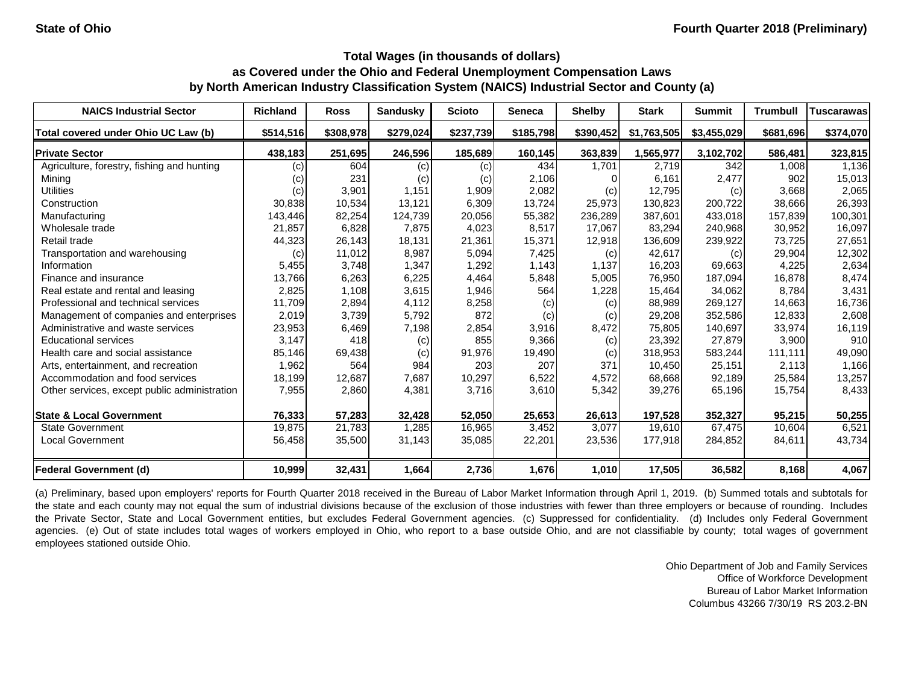| <b>NAICS Industrial Sector</b>               | <b>Richland</b> | <b>Ross</b> | <b>Sandusky</b> | <b>Scioto</b> | <b>Seneca</b> | <b>Shelby</b> | <b>Stark</b> | <b>Summit</b> | <b>Trumbull</b> | Tuscarawas |
|----------------------------------------------|-----------------|-------------|-----------------|---------------|---------------|---------------|--------------|---------------|-----------------|------------|
| Total covered under Ohio UC Law (b)          | \$514,516       | \$308,978   | \$279,024       | \$237,739     | \$185,798     | \$390,452     | \$1,763,505  | \$3,455,029   | \$681,696       | \$374,070  |
| <b>Private Sector</b>                        | 438,183         | 251,695     | 246,596         | 185,689       | 160,145       | 363,839       | 1,565,977    | 3,102,702     | 586,481         | 323,815    |
| Agriculture, forestry, fishing and hunting   | (c)             | 604         | (c)             | (c)           | 434           | 1,701         | 2,719        | 342           | 1,008           | 1,136      |
| Mining                                       | (c)             | 231         | (c)             | (c)           | 2,106         |               | 6,161        | 2,477         | 902             | 15,013     |
| <b>Utilities</b>                             | (c)             | 3,901       | 1,151           | 1,909         | 2,082         | (c)           | 12,795       | (c)           | 3,668           | 2,065      |
| Construction                                 | 30,838          | 10,534      | 13,121          | 6,309         | 13,724        | 25,973        | 130,823      | 200,722       | 38,666          | 26,393     |
| Manufacturing                                | 143,446         | 82,254      | 124,739         | 20,056        | 55,382        | 236,289       | 387,601      | 433,018       | 157,839         | 100,301    |
| Wholesale trade                              | 21,857          | 6,828       | 7,875           | 4,023         | 8,517         | 17,067        | 83,294       | 240,968       | 30,952          | 16,097     |
| Retail trade                                 | 44,323          | 26,143      | 18,131          | 21,361        | 15,371        | 12,918        | 136,609      | 239,922       | 73,725          | 27,651     |
| Transportation and warehousing               | (c)             | 11,012      | 8,987           | 5,094         | 7,425         | (c)           | 42,617       | (c)           | 29,904          | 12,302     |
| Information                                  | 5,455           | 3,748       | 1,347           | 1,292         | 1,143         | 1,137         | 16,203       | 69,663        | 4,225           | 2,634      |
| Finance and insurance                        | 13,766          | 6,263       | 6,225           | 4,464         | 5,848         | 5,005         | 76,950       | 187,094       | 16,878          | 8,474      |
| Real estate and rental and leasing           | 2,825           | 1,108       | 3,615           | 1,946         | 564           | 1,228         | 15,464       | 34,062        | 8,784           | 3,431      |
| Professional and technical services          | 11,709          | 2,894       | 4,112           | 8,258         | (c)           | (c)           | 88,989       | 269,127       | 14,663          | 16,736     |
| Management of companies and enterprises      | 2,019           | 3,739       | 5,792           | 872           | (c)           | $\left( $     | 29,208       | 352,586       | 12,833          | 2,608      |
| Administrative and waste services            | 23,953          | 6,469       | 7,198           | 2,854         | 3,916         | 8,472         | 75,805       | 140,697       | 33,974          | 16,119     |
| <b>Educational services</b>                  | 3,147           | 418         | (c)             | 855           | 9,366         | (c)           | 23,392       | 27,879        | 3,900           | 910        |
| Health care and social assistance            | 85,146          | 69,438      | (c)             | 91,976        | 19,490        | (c)           | 318,953      | 583,244       | 111,111         | 49,090     |
| Arts, entertainment, and recreation          | 1,962           | 564         | 984             | 203           | 207           | 371           | 10,450       | 25,151        | 2,113           | 1,166      |
| Accommodation and food services              | 18,199          | 12,687      | 7,687           | 10,297        | 6,522         | 4,572         | 68,668       | 92,189        | 25,584          | 13,257     |
| Other services, except public administration | 7,955           | 2,860       | 4,381           | 3,716         | 3,610         | 5,342         | 39,276       | 65,196        | 15,754          | 8,433      |
| <b>State &amp; Local Government</b>          | 76,333          | 57,283      | 32,428          | 52,050        | 25,653        | 26,613        | 197,528      | 352,327       | 95,215          | 50,255     |
| <b>State Government</b>                      | 19,875          | 21,783      | 1,285           | 16,965        | 3,452         | 3,077         | 19,610       | 67,475        | 10,604          | 6,521      |
| <b>Local Government</b>                      | 56,458          | 35,500      | 31,143          | 35,085        | 22,201        | 23,536        | 177,918      | 284,852       | 84,611          | 43,734     |
| <b>Federal Government (d)</b>                | 10,999          | 32,431      | 1,664           | 2,736         | 1,676         | 1,010         | 17,505       | 36,582        | 8,168           | 4,067      |

(a) Preliminary, based upon employers' reports for Fourth Quarter 2018 received in the Bureau of Labor Market Information through April 1, 2019. (b) Summed totals and subtotals for the state and each county may not equal the sum of industrial divisions because of the exclusion of those industries with fewer than three employers or because of rounding. Includes the Private Sector, State and Local Government entities, but excludes Federal Government agencies. (c) Suppressed for confidentiality. (d) Includes only Federal Government agencies. (e) Out of state includes total wages of workers employed in Ohio, who report to a base outside Ohio, and are not classifiable by county; total wages of government employees stationed outside Ohio.